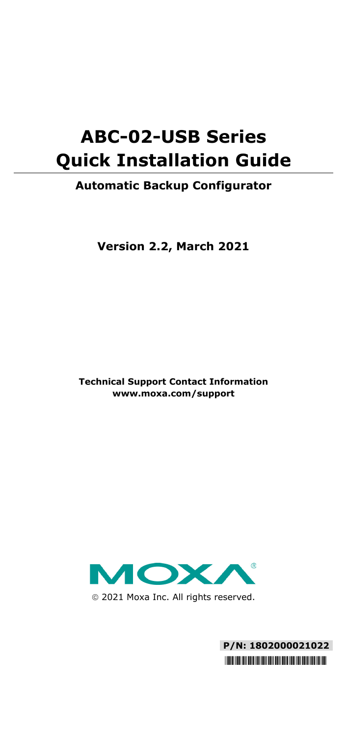# **ABC-02-USB Series Quick Installation Guide**

### **Automatic Backup Configurator**

**Version 2.2, March 2021**

**Technical Support Contact Information www.moxa.com/support**



2021 Moxa Inc. All rights reserved.

**P/N: 1802000021022** \*1802000021022\*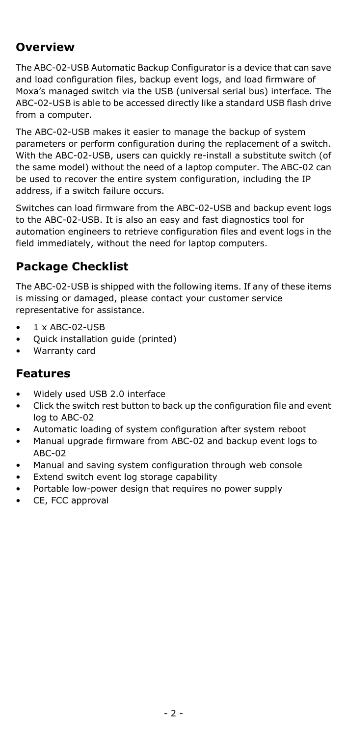# **Overview**

The ABC-02-USB Automatic Backup Configurator is a device that can save and load configuration files, backup event logs, and load firmware of Moxa's managed switch via the USB (universal serial bus) interface. The ABC-02-USB is able to be accessed directly like a standard USB flash drive from a computer.

The ABC-02-USB makes it easier to manage the backup of system parameters or perform configuration during the replacement of a switch. With the ABC-02-USB, users can quickly re-install a substitute switch (of the same model) without the need of a laptop computer. The ABC-02 can be used to recover the entire system configuration, including the IP address, if a switch failure occurs.

Switches can load firmware from the ABC-02-USB and backup event logs to the ABC-02-USB. It is also an easy and fast diagnostics tool for automation engineers to retrieve configuration files and event logs in the field immediately, without the need for laptop computers.

# **Package Checklist**

The ABC-02-USB is shipped with the following items. If any of these items is missing or damaged, please contact your customer service representative for assistance.

- 1 x ABC-02-USB
- Quick installation guide (printed)
- Warranty card

### **Features**

- Widely used USB 2.0 interface
- Click the switch rest button to back up the configuration file and event log to ABC-02
- Automatic loading of system configuration after system reboot
- Manual upgrade firmware from ABC-02 and backup event logs to ABC-02
- Manual and saving system configuration through web console
- Extend switch event log storage capability
- Portable low-power design that requires no power supply
- CE, FCC approval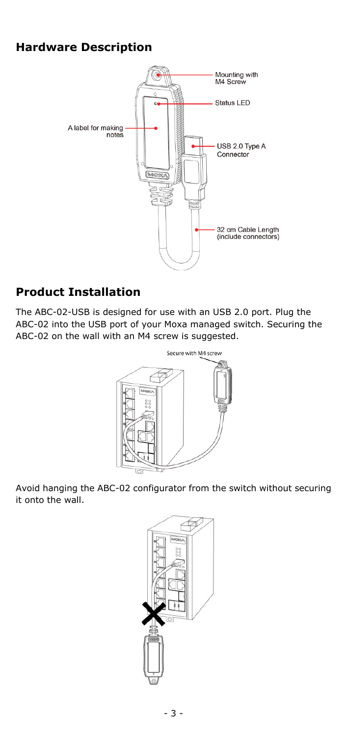### **Hardware Description**



### **Product Installation**

The ABC-02-USB is designed for use with an USB 2.0 port. Plug the ABC-02 into the USB port of your Moxa managed switch. Securing the ABC-02 on the wall with an M4 screw is suggested.



Avoid hanging the ABC-02 configurator from the switch without securing it onto the wall.

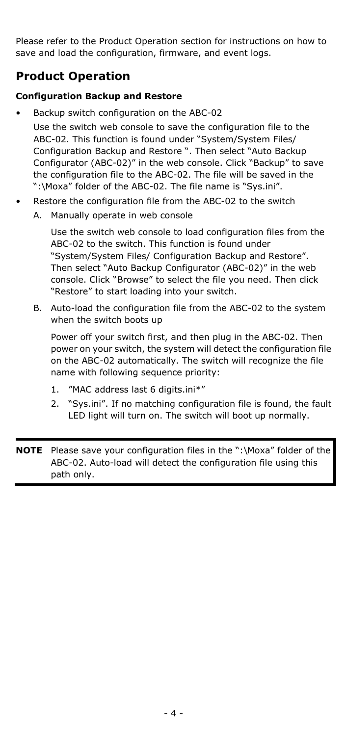Please refer to the Product Operation section for instructions on how to save and load the configuration, firmware, and event logs.

### **Product Operation**

#### **Configuration Backup and Restore**

• Backup switch configuration on the ABC-02

Use the switch web console to save the configuration file to the ABC-02. This function is found under "System/System Files/ Configuration Backup and Restore ". Then select "Auto Backup Configurator (ABC-02)" in the web console. Click "Backup" to save the configuration file to the ABC-02. The file will be saved in the ":\Moxa" folder of the ABC-02. The file name is "Sys.ini".

- Restore the configuration file from the ABC-02 to the switch
	- A. Manually operate in web console

Use the switch web console to load configuration files from the ABC-02 to the switch. This function is found under "System/System Files/ Configuration Backup and Restore". Then select "Auto Backup Configurator (ABC-02)" in the web console. Click "Browse" to select the file you need. Then click "Restore" to start loading into your switch.

B. Auto-load the configuration file from the ABC-02 to the system when the switch boots up

Power off your switch first, and then plug in the ABC-02. Then power on your switch, the system will detect the configuration file on the ABC-02 automatically. The switch will recognize the file name with following sequence priority:

- 1. "MAC address last 6 digits.ini\*"
- 2. "Sys.ini". If no matching configuration file is found, the fault LED light will turn on. The switch will boot up normally.

**NOTE** Please save your configuration files in the ":\Moxa" folder of the ABC-02. Auto-load will detect the configuration file using this path only.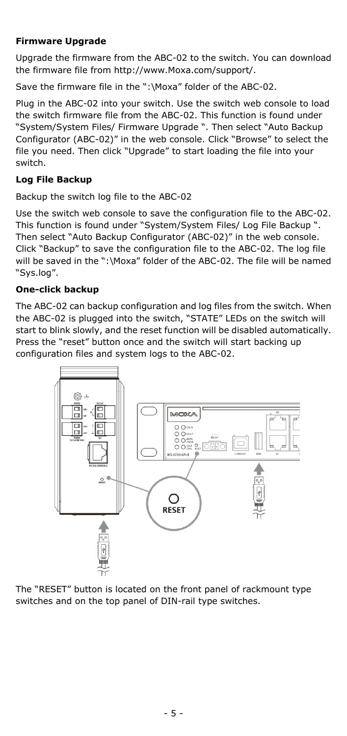#### **Firmware Upgrade**

Upgrade the firmware from the ABC-02 to the switch. You can download the firmware file from http://www.Moxa.com/support/.

Save the firmware file in the ":\Moxa" folder of the ABC-02.

Plug in the ABC-02 into your switch. Use the switch web console to load the switch firmware file from the ABC-02. This function is found under "System/System Files/ Firmware Upgrade ". Then select "Auto Backup Configurator (ABC-02)" in the web console. Click "Browse" to select the file you need. Then click "Upgrade" to start loading the file into your switch.

#### **Log File Backup**

Backup the switch log file to the ABC-02

Use the switch web console to save the configuration file to the ABC-02. This function is found under "System/System Files/ Log File Backup ". Then select "Auto Backup Configurator (ABC-02)" in the web console. Click "Backup" to save the configuration file to the ABC-02. The log file will be saved in the ":\Moxa" folder of the ABC-02. The file will be named "Sys.log".

#### **One-click backup**

The ABC-02 can backup configuration and log files from the switch. When the ABC-02 is plugged into the switch, "STATE" LEDs on the switch will start to blink slowly, and the reset function will be disabled automatically. Press the "reset" button once and the switch will start backing up configuration files and system logs to the ABC-02.



The "RESET" button is located on the front panel of rackmount type switches and on the top panel of DIN-rail type switches.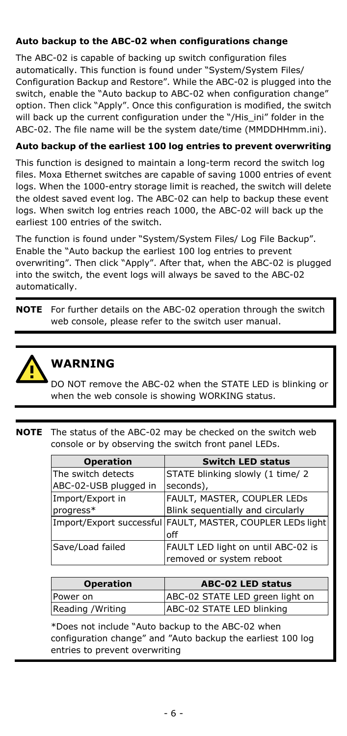#### **Auto backup to the ABC-02 when configurations change**

The ABC-02 is capable of backing up switch configuration files automatically. This function is found under "System/System Files/ Configuration Backup and Restore". While the ABC-02 is plugged into the switch, enable the "Auto backup to ABC-02 when configuration change" option. Then click "Apply". Once this configuration is modified, the switch will back up the current configuration under the "/His\_ini" folder in the ABC-02. The file name will be the system date/time (MMDDHHmm.ini).

#### **Auto backup of the earliest 100 log entries to prevent overwriting**

This function is designed to maintain a long-term record the switch log files. Moxa Ethernet switches are capable of saving 1000 entries of event logs. When the 1000-entry storage limit is reached, the switch will delete the oldest saved event log. The ABC-02 can help to backup these event logs. When switch log entries reach 1000, the ABC-02 will back up the earliest 100 entries of the switch.

The function is found under "System/System Files/ Log File Backup". Enable the "Auto backup the earliest 100 log entries to prevent overwriting". Then click "Apply". After that, when the ABC-02 is plugged into the switch, the event logs will always be saved to the ABC-02 automatically.

**NOTE** For further details on the ABC-02 operation through the switch web console, please refer to the switch user manual.



# **WARNING**

DO NOT remove the ABC-02 when the STATE LED is blinking or when the web console is showing WORKING status.

**NOTE** The status of the ABC-02 may be checked on the switch web console or by observing the switch front panel LEDs.

| <b>Operation</b>      | <b>Switch LED status</b>                                   |
|-----------------------|------------------------------------------------------------|
| The switch detects    | STATE blinking slowly (1 time/ 2                           |
| ABC-02-USB plugged in | seconds),                                                  |
| Import/Export in      | FAULT, MASTER, COUPLER LEDS                                |
| progress*             | Blink sequentially and circularly                          |
|                       | Import/Export successful FAULT, MASTER, COUPLER LEDs light |
|                       | off                                                        |
| Save/Load failed      | FAULT LED light on until ABC-02 is                         |
|                       | removed or system reboot                                   |

| <b>Operation</b> | <b>ABC-02 LED status</b>        |
|------------------|---------------------------------|
| Power on         | ABC-02 STATE LED green light on |
| Reading /Writing | ABC-02 STATE LED blinking       |

\*Does not include "Auto backup to the ABC-02 when configuration change" and "Auto backup the earliest 100 log entries to prevent overwriting